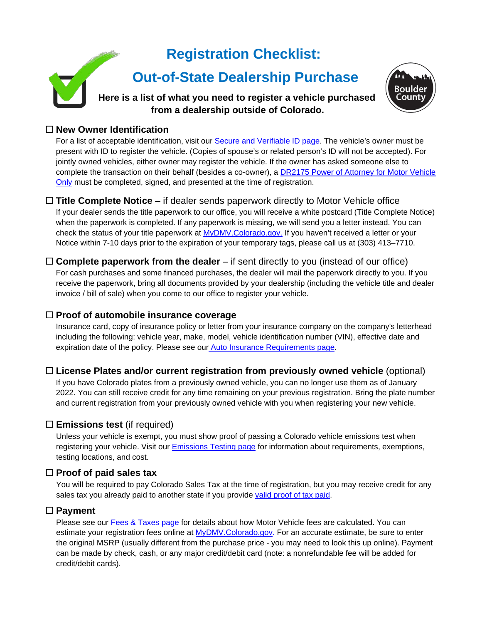# **Registration Checklist:**

# **Out-of-State Dealership Purchase**

**Here is a list of what you need to register a vehicle purchased from a dealership outside of Colorado.**



### **New Owner Identification**

For a list of acceptable identification, visit our [Secure and Verifiable ID page.](https://www.bouldercounty.org/records/motor-vehicle/secure-id/) The vehicle's owner must be present with ID to register the vehicle. (Copies of spouse's or related person's ID will not be accepted). For jointly owned vehicles, either owner may register the vehicle. If the owner has asked someone else to complete the transaction on their behalf (besides a co-owner), a [DR2175 Power of Attorney for Motor Vehicle](https://www.colorado.gov/pacific/sites/default/files/DR2175.pdf)  [Only](https://www.colorado.gov/pacific/sites/default/files/DR2175.pdf) must be completed, signed, and presented at the time of registration.

#### **Title Complete Notice** – if dealer sends paperwork directly to Motor Vehicle office

If your dealer sends the title paperwork to our office, you will receive a white postcard (Title Complete Notice) when the paperwork is completed. If any paperwork is missing, we will send you a letter instead. You can check the status of your title paperwork at [MyDMV.Colorado.gov.](http://www.mydmv.colorado.gov/) If you haven't received a letter or your Notice within 7-10 days prior to the expiration of your temporary tags, please call us at (303) 413–7710.

□ **Complete paperwork from the dealer** – if sent directly to you (instead of our office) For cash purchases and some financed purchases, the dealer will mail the paperwork directly to you. If you receive the paperwork, bring all documents provided by your dealership (including the vehicle title and dealer invoice / bill of sale) when you come to our office to register your vehicle.

#### **Proof of automobile insurance coverage**

Insurance card, copy of insurance policy or letter from your insurance company on the company's letterhead including the following: vehicle year, make, model, vehicle identification number (VIN), effective date and expiration date of the policy. Please see our [Auto Insurance Requirements page.](https://www.bouldercounty.org/records/motor-vehicle/auto-insurance-requirements/)

## **License Plates and/or current registration from previously owned vehicle** (optional)

If you have Colorado plates from a previously owned vehicle, you can no longer use them as of January 2022. You can still receive credit for any time remaining on your previous registration. Bring the plate number and current registration from your previously owned vehicle with you when registering your new vehicle.

## **Emissions test** (if required)

Unless your vehicle is exempt, you must show proof of passing a Colorado vehicle emissions test when registering your vehicle. Visit our [Emissions Testing page](https://www.bouldercounty.org/records/motor-vehicle/emissions-testing-requirements/) for information about requirements, exemptions, testing locations, and cost.

#### **Proof of paid sales tax**

You will be required to pay Colorado Sales Tax at the time of registration, but you may receive credit for any sales tax you already paid to another state if you provide [valid proof of tax paid.](https://assets.bouldercounty.org/wp-content/uploads/2020/06/Motor-Vehicle-Proof-of-Paid-Sales-Tax-Out-of-State-Purchase.pdf)

#### **Payment**

Please see our [Fees & Taxes page](https://www.bouldercounty.org/records/motor-vehicle/additional-motor-vehicle-resources/fees-and-taxes/) for details about how Motor Vehicle fees are calculated. You can estimate your registration fees online at [MyDMV.Colorado.gov.](http://www.mydmv.colorado.gov/) For an accurate estimate, be sure to enter the original MSRP (usually different from the purchase price - you may need to look this up online). Payment can be made by check, cash, or any major credit/debit card (note: a nonrefundable fee will be added for credit/debit cards).